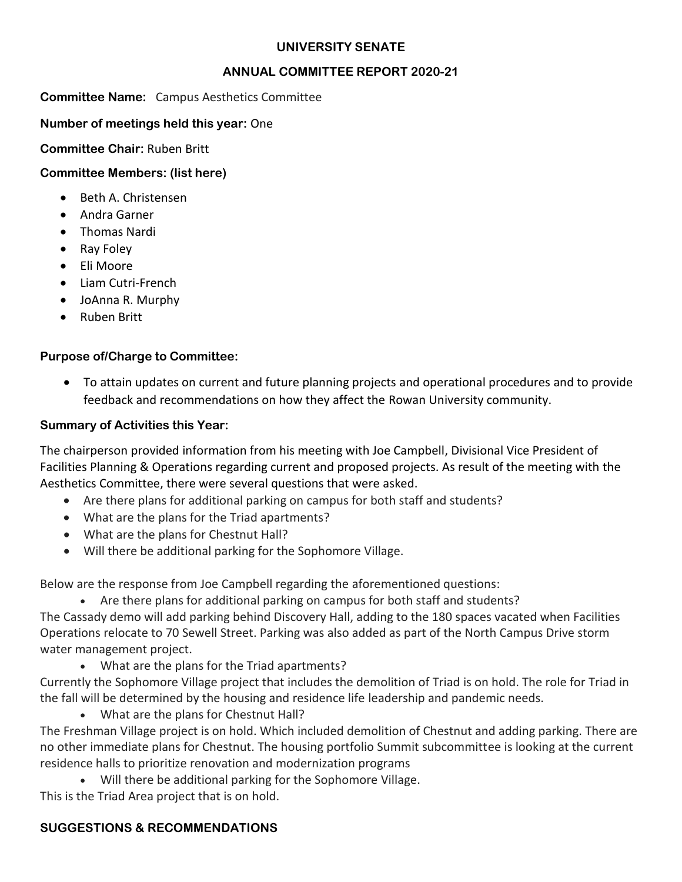### **UNIVERSITY SENATE**

### **ANNUAL COMMITTEE REPORT 2020-21**

### **Committee Name:** Campus Aesthetics Committee

### **Number of meetings held this year:** One

### **Committee Chair:** Ruben Britt

# **Committee Members: (list here)**

- Beth A. Christensen
- Andra Garner
- Thomas Nardi
- Ray Foley
- Eli Moore
- Liam Cutri-French
- JoAnna R. Murphy
- Ruben Britt

# **Purpose of/Charge to Committee:**

• To attain updates on current and future planning projects and operational procedures and to provide feedback and recommendations on how they affect the Rowan University community.

# **Summary of Activities this Year:**

The chairperson provided information from his meeting with Joe Campbell, Divisional Vice President of Facilities Planning & Operations regarding current and proposed projects. As result of the meeting with the Aesthetics Committee, there were several questions that were asked.

- Are there plans for additional parking on campus for both staff and students?
- What are the plans for the Triad apartments?
- What are the plans for Chestnut Hall?
- Will there be additional parking for the Sophomore Village.

Below are the response from Joe Campbell regarding the aforementioned questions:

Are there plans for additional parking on campus for both staff and students? The Cassady demo will add parking behind Discovery Hall, adding to the 180 spaces vacated when Facilities

Operations relocate to 70 Sewell Street. Parking was also added as part of the North Campus Drive storm water management project.

• What are the plans for the Triad apartments?

Currently the Sophomore Village project that includes the demolition of Triad is on hold. The role for Triad in the fall will be determined by the housing and residence life leadership and pandemic needs.

• What are the plans for Chestnut Hall?

The Freshman Village project is on hold. Which included demolition of Chestnut and adding parking. There are no other immediate plans for Chestnut. The housing portfolio Summit subcommittee is looking at the current residence halls to prioritize renovation and modernization programs

• Will there be additional parking for the Sophomore Village. This is the Triad Area project that is on hold.

# **SUGGESTIONS & RECOMMENDATIONS**